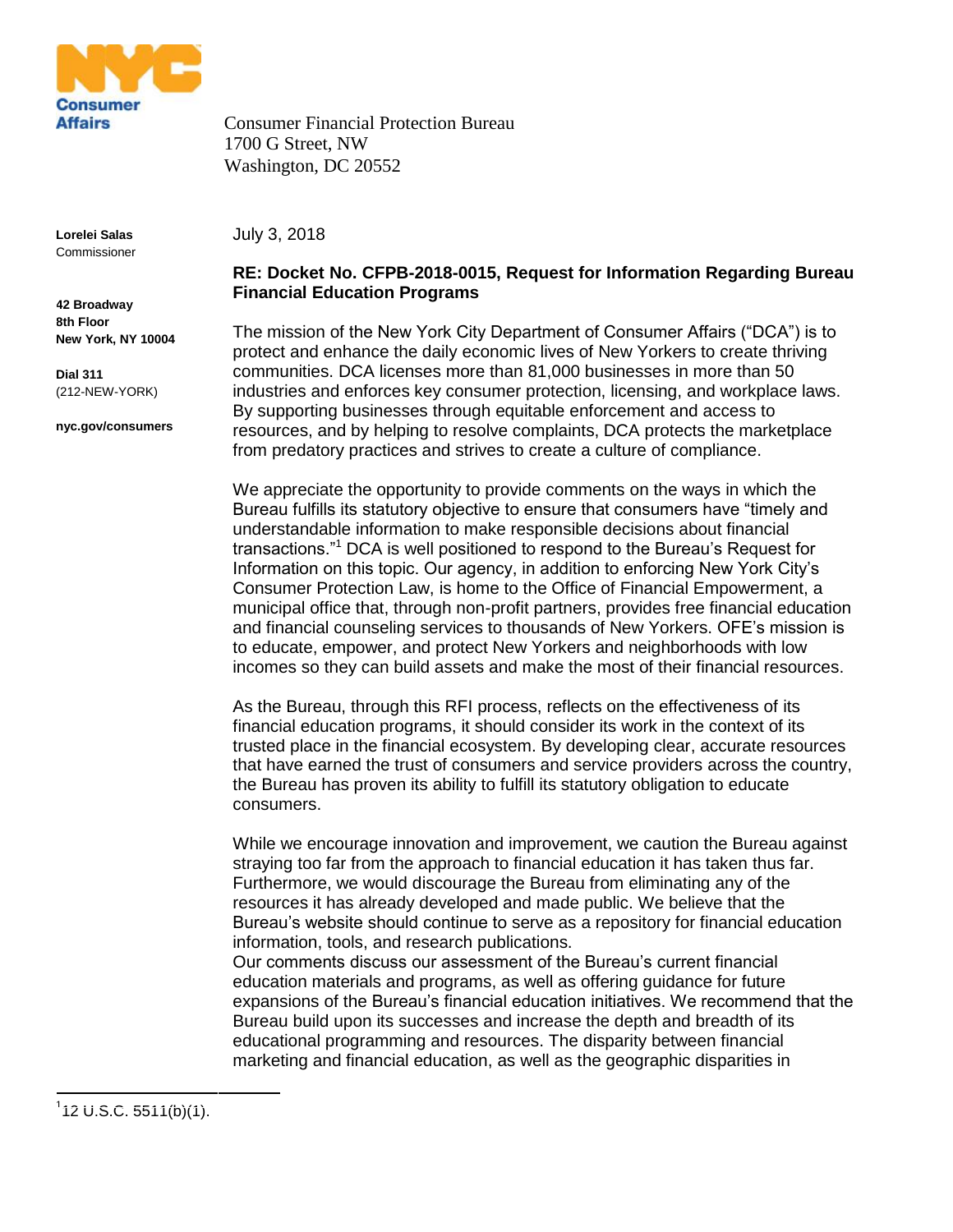

Consumer Financial Protection Bureau 1700 G Street, NW Washington, DC 20552

**Lorelei Salas** Commissioner

**42 Broadway 8th Floor New York, NY 10004**

**Dial 311** (212-NEW-YORK)

**nyc.gov/consumers**

July 3, 2018

## **RE: Docket No. CFPB-2018-0015, Request for Information Regarding Bureau Financial Education Programs**

The mission of the New York City Department of Consumer Affairs ("DCA") is to protect and enhance the daily economic lives of New Yorkers to create thriving communities. DCA licenses more than 81,000 businesses in more than 50 industries and enforces key consumer protection, licensing, and workplace laws. By supporting businesses through equitable enforcement and access to resources, and by helping to resolve complaints, DCA protects the marketplace from predatory practices and strives to create a culture of compliance.

We appreciate the opportunity to provide comments on the ways in which the Bureau fulfills its statutory objective to ensure that consumers have "timely and understandable information to make responsible decisions about financial transactions."<sup>1</sup> DCA is well positioned to respond to the Bureau's Request for Information on this topic. Our agency, in addition to enforcing New York City's Consumer Protection Law, is home to the Office of Financial Empowerment, a municipal office that, through non-profit partners, provides free financial education and financial counseling services to thousands of New Yorkers. OFE's mission is to educate, empower, and protect New Yorkers and neighborhoods with low incomes so they can build assets and make the most of their financial resources.

As the Bureau, through this RFI process, reflects on the effectiveness of its financial education programs, it should consider its work in the context of its trusted place in the financial ecosystem. By developing clear, accurate resources that have earned the trust of consumers and service providers across the country, the Bureau has proven its ability to fulfill its statutory obligation to educate consumers.

While we encourage innovation and improvement, we caution the Bureau against straying too far from the approach to financial education it has taken thus far. Furthermore, we would discourage the Bureau from eliminating any of the resources it has already developed and made public. We believe that the Bureau's website should continue to serve as a repository for financial education information, tools, and research publications.

Our comments discuss our assessment of the Bureau's current financial education materials and programs, as well as offering guidance for future expansions of the Bureau's financial education initiatives. We recommend that the Bureau build upon its successes and increase the depth and breadth of its educational programming and resources. The disparity between financial marketing and financial education, as well as the geographic disparities in

1

 $112$  U.S.C. 5511(b)(1).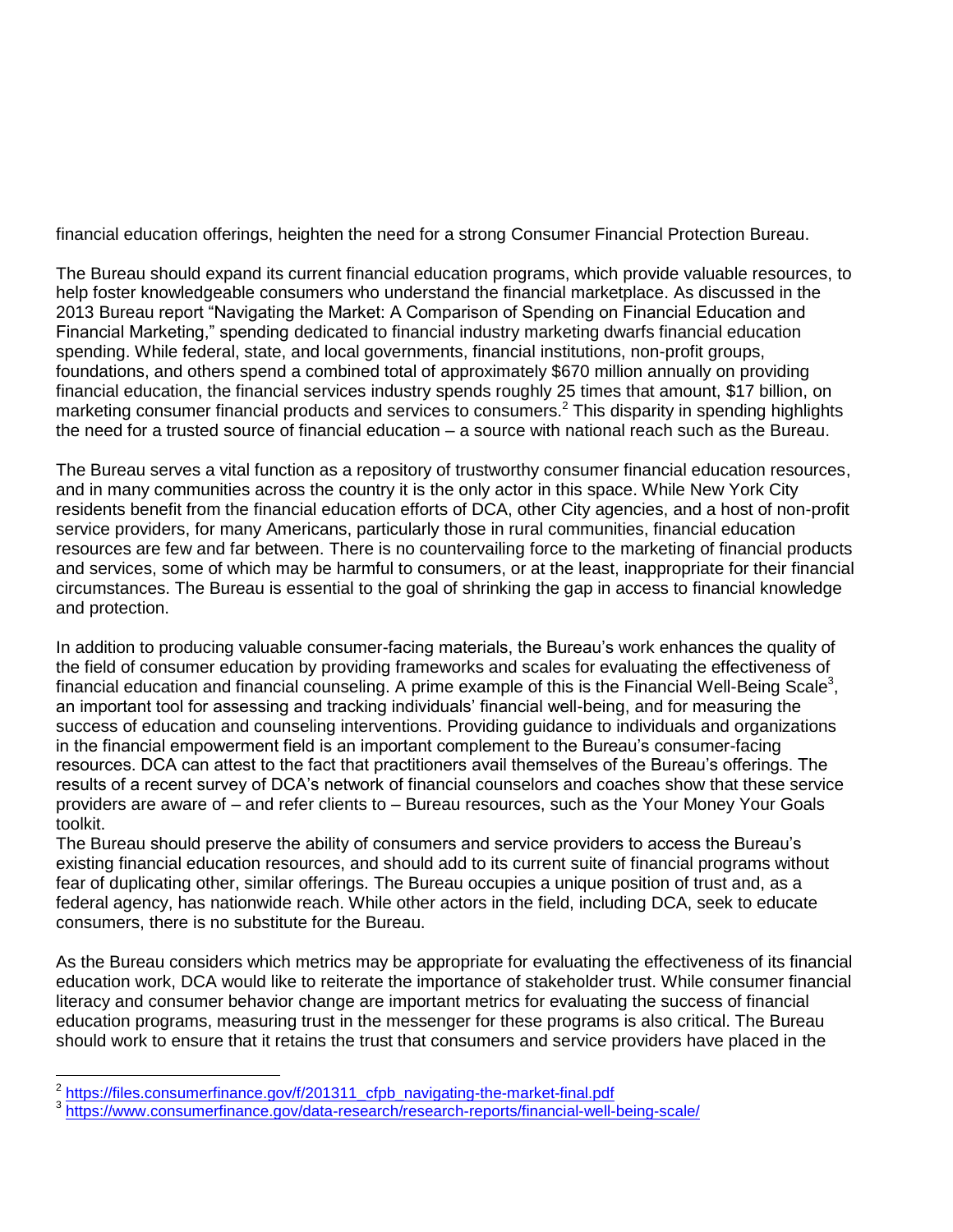financial education offerings, heighten the need for a strong Consumer Financial Protection Bureau.

The Bureau should expand its current financial education programs, which provide valuable resources, to help foster knowledgeable consumers who understand the financial marketplace. As discussed in the 2013 Bureau report "Navigating the Market: A Comparison of Spending on Financial Education and Financial Marketing," spending dedicated to financial industry marketing dwarfs financial education spending. While federal, state, and local governments, financial institutions, non-profit groups, foundations, and others spend a combined total of approximately \$670 million annually on providing financial education, the financial services industry spends roughly 25 times that amount, \$17 billion, on marketing consumer financial products and services to consumers.<sup>2</sup> This disparity in spending highlights the need for a trusted source of financial education – a source with national reach such as the Bureau.

The Bureau serves a vital function as a repository of trustworthy consumer financial education resources, and in many communities across the country it is the only actor in this space. While New York City residents benefit from the financial education efforts of DCA, other City agencies, and a host of non-profit service providers, for many Americans, particularly those in rural communities, financial education resources are few and far between. There is no countervailing force to the marketing of financial products and services, some of which may be harmful to consumers, or at the least, inappropriate for their financial circumstances. The Bureau is essential to the goal of shrinking the gap in access to financial knowledge and protection.

In addition to producing valuable consumer-facing materials, the Bureau's work enhances the quality of the field of consumer education by providing frameworks and scales for evaluating the effectiveness of financial education and financial counseling. A prime example of this is the Financial Well-Being Scale<sup>3</sup>, an important tool for assessing and tracking individuals' financial well-being, and for measuring the success of education and counseling interventions. Providing guidance to individuals and organizations in the financial empowerment field is an important complement to the Bureau's consumer-facing resources. DCA can attest to the fact that practitioners avail themselves of the Bureau's offerings. The results of a recent survey of DCA's network of financial counselors and coaches show that these service providers are aware of – and refer clients to – Bureau resources, such as the Your Money Your Goals toolkit.

The Bureau should preserve the ability of consumers and service providers to access the Bureau's existing financial education resources, and should add to its current suite of financial programs without fear of duplicating other, similar offerings. The Bureau occupies a unique position of trust and, as a federal agency, has nationwide reach. While other actors in the field, including DCA, seek to educate consumers, there is no substitute for the Bureau.

As the Bureau considers which metrics may be appropriate for evaluating the effectiveness of its financial education work, DCA would like to reiterate the importance of stakeholder trust. While consumer financial literacy and consumer behavior change are important metrics for evaluating the success of financial education programs, measuring trust in the messenger for these programs is also critical. The Bureau should work to ensure that it retains the trust that consumers and service providers have placed in the

<sup>&</sup>lt;sup>2</sup><br>[https://files.consumerfinance.gov/f/201311\\_cfpb\\_navigating-the-market-final.pdf](https://files.consumerfinance.gov/f/201311_cfpb_navigating-the-market-final.pdf)<br>3 https://www.consumerfinance.gov/date\_research/research\_reporte/financial.well

<https://www.consumerfinance.gov/data-research/research-reports/financial-well-being-scale/>